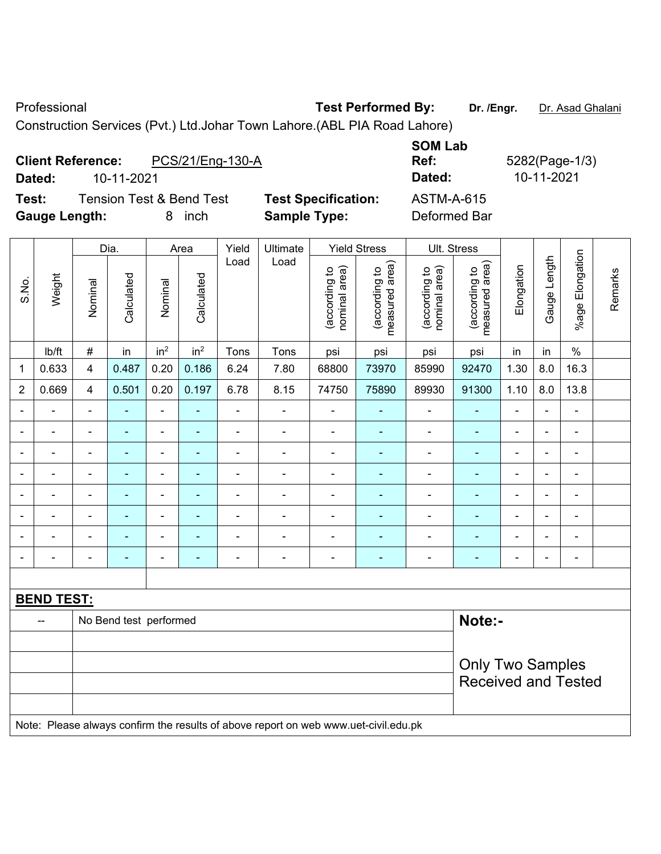Professional **Test Performed By:** Dr. /Engr. Dr. Asad Ghalani

Construction Services (Pvt.) Ltd.Johar Town Lahore.(ABL PIA Road Lahore)

# **Client Reference:** PCS/21/Eng-130-A **Dated:** 10-11-2021 **Dated:** 10-11-2021 **Test:** Tension Test & Bend Test **Test Specification:** ASTM-A-615 **Gauge Length:** 8 inch **Sample Type:** Deformed Bar

|                          |                          |                          | Dia.                   |                              | Area            | Yield          | Ultimate                                                                            |                                | <b>Yield Stress</b>             |                                | Ult. Stress                     |                |                          |                          |         |
|--------------------------|--------------------------|--------------------------|------------------------|------------------------------|-----------------|----------------|-------------------------------------------------------------------------------------|--------------------------------|---------------------------------|--------------------------------|---------------------------------|----------------|--------------------------|--------------------------|---------|
| S.No.                    | Weight                   | Nominal                  | Calculated             | Nominal                      | Calculated      | Load           | Load                                                                                | nominal area)<br>(according to | measured area)<br>(according to | nominal area)<br>(according to | measured area)<br>(according to | Elongation     | Gauge Length             | %age Elongation          | Remarks |
|                          | lb/ft                    | $\#$                     | in                     | in <sup>2</sup>              | in <sup>2</sup> | Tons           | Tons                                                                                | psi                            | psi                             | psi                            | psi                             | in             | in                       | $\%$                     |         |
| $\mathbf 1$              | 0.633                    | $\overline{\mathbf{4}}$  | 0.487                  | 0.20                         | 0.186           | 6.24           | 7.80                                                                                | 68800                          | 73970                           | 85990                          | 92470                           | 1.30           | 8.0                      | 16.3                     |         |
| $\overline{2}$           | 0.669                    | $\overline{4}$           | 0.501                  | 0.20                         | 0.197           | 6.78           | 8.15                                                                                | 74750                          | 75890                           | 89930                          | 91300                           | 1.10           | 8.0                      | 13.8                     |         |
| $\blacksquare$           | $\blacksquare$           | $\blacksquare$           | $\blacksquare$         | ä,                           | ÷,              | $\blacksquare$ | $\blacksquare$                                                                      | ä,                             | $\blacksquare$                  | $\frac{1}{2}$                  | $\blacksquare$                  | $\blacksquare$ | $\overline{\phantom{a}}$ | $\blacksquare$           |         |
| $\blacksquare$           | $\blacksquare$           | $\blacksquare$           | ÷,                     | $\qquad \qquad \blacksquare$ | $\blacksquare$  | $\blacksquare$ | ÷,                                                                                  | $\overline{\phantom{a}}$       | ÷                               | $\blacksquare$                 | $\blacksquare$                  | $\blacksquare$ | ÷,                       | $\blacksquare$           |         |
|                          |                          | $\overline{\phantom{a}}$ | ä,                     | $\blacksquare$               | $\blacksquare$  | ÷              | ÷                                                                                   | $\blacksquare$                 | $\blacksquare$                  | ä,                             | $\blacksquare$                  | $\blacksquare$ | $\blacksquare$           | $\overline{\phantom{a}}$ |         |
|                          |                          | $\blacksquare$           | ۰                      | $\blacksquare$               |                 | $\blacksquare$ | $\blacksquare$                                                                      |                                |                                 | L,                             | $\blacksquare$                  |                | $\blacksquare$           | $\blacksquare$           |         |
|                          |                          | $\overline{\phantom{a}}$ | $\blacksquare$         | $\blacksquare$               |                 |                | ÷                                                                                   |                                |                                 | L,                             | L.                              | $\blacksquare$ | $\blacksquare$           | $\blacksquare$           |         |
| $\blacksquare$           | $\overline{\phantom{a}}$ | $\blacksquare$           | ۰                      | $\blacksquare$               | ٠               | $\blacksquare$ | $\frac{1}{2}$                                                                       | $\blacksquare$                 | ٠                               | $\blacksquare$                 | $\blacksquare$                  | $\blacksquare$ | $\blacksquare$           | $\blacksquare$           |         |
| $\overline{\phantom{a}}$ | $\blacksquare$           | $\overline{\phantom{a}}$ | ÷,                     | $\blacksquare$               | ÷               | $\blacksquare$ | ÷,                                                                                  | $\blacksquare$                 | ÷                               | ÷                              | $\blacksquare$                  | $\blacksquare$ | ÷,                       | $\blacksquare$           |         |
| $\blacksquare$           |                          | $\blacksquare$           | ä,                     | $\blacksquare$               | $\overline{a}$  | $\blacksquare$ | ä,                                                                                  | $\blacksquare$                 | ÷                               | $\blacksquare$                 | $\blacksquare$                  | $\blacksquare$ | $\blacksquare$           | $\overline{\phantom{a}}$ |         |
|                          |                          |                          |                        |                              |                 |                |                                                                                     |                                |                                 |                                |                                 |                |                          |                          |         |
|                          | <b>BEND TEST:</b>        |                          |                        |                              |                 |                |                                                                                     |                                |                                 |                                |                                 |                |                          |                          |         |
|                          |                          |                          | No Bend test performed |                              |                 |                |                                                                                     |                                |                                 |                                | Note:-                          |                |                          |                          |         |
|                          |                          |                          |                        |                              |                 |                |                                                                                     |                                |                                 |                                |                                 |                |                          |                          |         |
|                          |                          |                          |                        |                              |                 |                |                                                                                     |                                |                                 |                                | <b>Only Two Samples</b>         |                |                          |                          |         |
|                          |                          |                          |                        |                              |                 |                |                                                                                     |                                |                                 |                                | <b>Received and Tested</b>      |                |                          |                          |         |
|                          |                          |                          |                        |                              |                 |                |                                                                                     |                                |                                 |                                |                                 |                |                          |                          |         |
|                          |                          |                          |                        |                              |                 |                | Note: Please always confirm the results of above report on web www.uet-civil.edu.pk |                                |                                 |                                |                                 |                |                          |                          |         |

**SOM Lab Ref:** 5282(Page-1/3)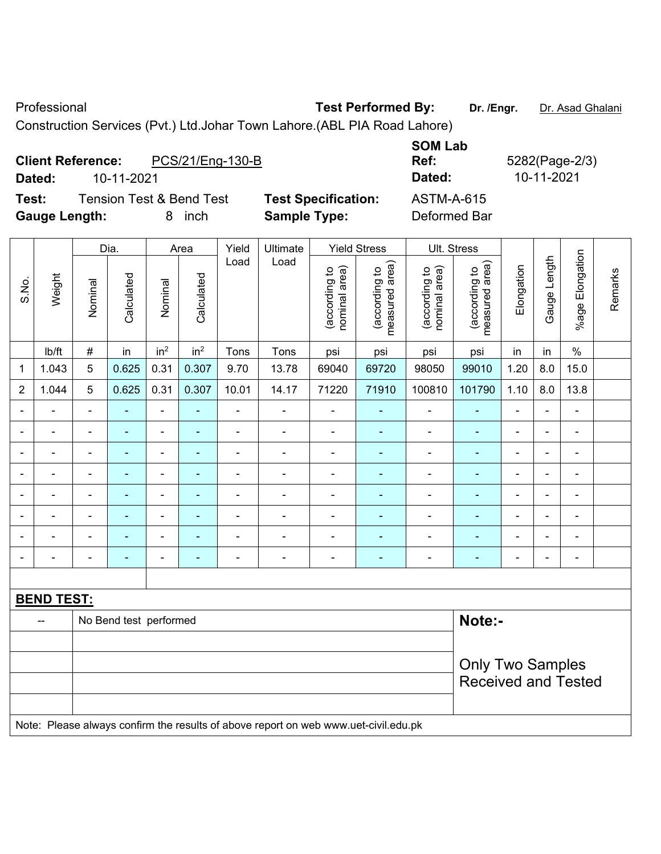Professional **Test Performed By:** Dr. /Engr. Dr. Asad Ghalani

Construction Services (Pvt.) Ltd.Johar Town Lahore.(ABL PIA Road Lahore)

## **Client Reference:** PCS/21/Eng-130-B **SOM Lab Dated:** 10-11-2021 **Dated:** 10-11-2021 **Test:** Tension Test & Bend Test **Test Specification:** ASTM-A-615

**Ref:** 5282(Page-2/3)

**Gauge Length:** 8 inch **Sample Type:** Deformed Bar

|                |                              |                              | Dia.                     |                          | Area            | Yield          | Ultimate                 |                               | <b>Yield Stress</b>             |                                | Ult. Stress                                           |                |                          |                    |         |
|----------------|------------------------------|------------------------------|--------------------------|--------------------------|-----------------|----------------|--------------------------|-------------------------------|---------------------------------|--------------------------------|-------------------------------------------------------|----------------|--------------------------|--------------------|---------|
| S.No.          | Weight                       | Nominal                      | Calculated               | Nominal                  | Calculated      | Load           | Load                     | nominal area)<br>according to | measured area)<br>(according to | (according to<br>nominal area) | (according to<br>measured area)                       | Elongation     | Gauge Length             | Elongation<br>%age | Remarks |
|                | Ib/ft                        | #                            | in                       | in <sup>2</sup>          | in <sup>2</sup> | Tons           | Tons                     | psi                           | psi                             | psi                            | psi                                                   | in             | in                       | $\%$               |         |
| 1              | 1.043                        | 5                            | 0.625                    | 0.31                     | 0.307           | 9.70           | 13.78                    | 69040                         | 69720                           | 98050                          | 99010                                                 | 1.20           | 8.0                      | 15.0               |         |
| $\overline{2}$ | 1.044                        | 5                            | 0.625                    | 0.31                     | 0.307           | 10.01          | 14.17                    | 71220                         | 71910                           | 100810                         | 101790                                                | 1.10           | 8.0                      | 13.8               |         |
| $\blacksquare$ | $\qquad \qquad \blacksquare$ | $\blacksquare$               | $\blacksquare$           | $\blacksquare$           | ٠               | ÷              | $\overline{\phantom{a}}$ | $\overline{\phantom{a}}$      | $\blacksquare$                  | $\blacksquare$                 | $\blacksquare$                                        | $\blacksquare$ | $\overline{\phantom{a}}$ | $\blacksquare$     |         |
|                | $\blacksquare$               | Ē,                           | $\blacksquare$           | $\blacksquare$           | ÷               | $\blacksquare$ | $\blacksquare$           | $\blacksquare$                |                                 | $\blacksquare$                 | ۰                                                     | $\blacksquare$ | $\blacksquare$           | $\blacksquare$     |         |
| $\blacksquare$ | ۰                            | $\blacksquare$               | $\blacksquare$           | $\overline{\phantom{a}}$ | ÷               | Ē,             | $\blacksquare$           | $\overline{\phantom{a}}$      | $\overline{\phantom{0}}$        | $\overline{a}$                 | ۰                                                     | $\blacksquare$ | $\blacksquare$           | $\overline{a}$     |         |
| $\blacksquare$ | ۰                            | $\blacksquare$               | $\blacksquare$           | $\blacksquare$           | ٠               | $\blacksquare$ | $\blacksquare$           | $\overline{\phantom{a}}$      | $\blacksquare$                  | $\blacksquare$                 | ÷                                                     | $\blacksquare$ | $\blacksquare$           | $\blacksquare$     |         |
| ۰              | $\qquad \qquad \blacksquare$ | $\qquad \qquad \blacksquare$ | $\overline{\phantom{0}}$ | $\overline{\phantom{a}}$ | ۰               | ÷              | $\overline{a}$           | $\blacksquare$                | ۰                               | $\overline{a}$                 | ۰                                                     | $\overline{a}$ | $\blacksquare$           | $\blacksquare$     |         |
|                | $\blacksquare$               | $\overline{\phantom{0}}$     |                          |                          | $\blacksquare$  | ٠              | $\blacksquare$           | ۰                             |                                 |                                | ٠                                                     | $\blacksquare$ | $\blacksquare$           | $\blacksquare$     |         |
|                | ۰                            | $\overline{\phantom{0}}$     |                          |                          |                 |                | $\blacksquare$           | ٠                             | $\blacksquare$                  | $\blacksquare$                 | $\blacksquare$                                        | $\blacksquare$ | $\blacksquare$           | $\blacksquare$     |         |
|                | $\blacksquare$               | $\blacksquare$               |                          | $\overline{\phantom{0}}$ | ÷               | ٠              | $\blacksquare$           | $\blacksquare$                | ۰                               | $\blacksquare$                 | ۰                                                     | $\blacksquare$ | $\blacksquare$           | $\blacksquare$     |         |
|                |                              |                              |                          |                          |                 |                |                          |                               |                                 |                                |                                                       |                |                          |                    |         |
|                | <b>BEND TEST:</b>            |                              |                          |                          |                 |                |                          |                               |                                 |                                |                                                       |                |                          |                    |         |
|                | --                           |                              | No Bend test performed   |                          |                 |                |                          |                               |                                 |                                | Note:-                                                |                |                          |                    |         |
|                |                              |                              |                          |                          |                 |                |                          |                               |                                 |                                |                                                       |                |                          |                    |         |
|                |                              |                              |                          |                          |                 |                |                          |                               |                                 |                                | <b>Only Two Samples</b><br><b>Received and Tested</b> |                |                          |                    |         |

Note: Please always confirm the results of above report on web www.uet-civil.edu.pk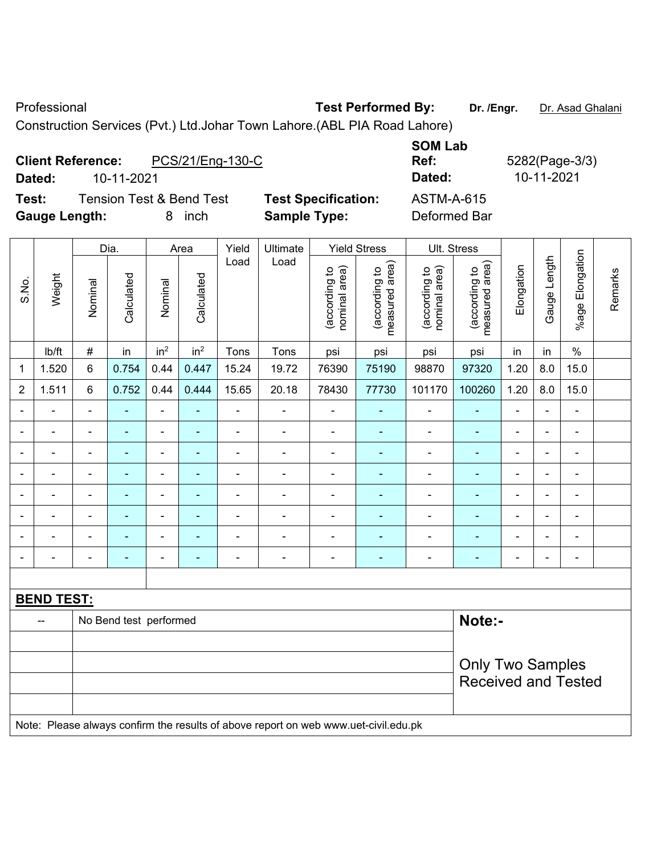Professional **Test Performed By:** Dr. /Engr. Dr. Asad Ghalani

Construction Services (Pvt.) Ltd.Johar Town Lahore.(ABL PIA Road Lahore)

#### **Client Reference:** PCS/21/Eng-130-C **SOM Lab Ref:** 5282(Page-3/3) **Dated:** 10-11-2021 **Dated:** 10-11-2021 **Test:** Tension Test & Bend Test **Test Specification:** ASTM-A-615 **Gauge Length:** 8 inch **Sample Type:** Deformed Bar

|                |                   |                                  | Dia.                     |                          | Area            | Yield          | Ultimate                                                                            |                                | <b>Yield Stress</b>             |                                | Ult. Stress                     |                |                |                          |         |
|----------------|-------------------|----------------------------------|--------------------------|--------------------------|-----------------|----------------|-------------------------------------------------------------------------------------|--------------------------------|---------------------------------|--------------------------------|---------------------------------|----------------|----------------|--------------------------|---------|
| S.No.          | Weight            | Nominal                          | Calculated               | Nominal                  | Calculated      | Load           | Load                                                                                | nominal area)<br>(according to | measured area)<br>(according to | nominal area)<br>(according to | (according to<br>measured area) | Elongation     | Gauge Length   | %age Elongation          | Remarks |
|                | Ib/ft             | $\#$                             | in                       | in <sup>2</sup>          | in <sup>2</sup> | Tons           | Tons                                                                                | psi                            | psi                             | psi                            | psi                             | in             | in             | $\%$                     |         |
| 1              | 1.520             | $\,6$                            | 0.754                    | 0.44                     | 0.447           | 15.24          | 19.72                                                                               | 76390                          | 75190                           | 98870                          | 97320                           | 1.20           | 8.0            | 15.0                     |         |
| $\overline{2}$ | 1.511             | 6                                | 0.752                    | 0.44                     | 0.444           | 15.65          | 20.18                                                                               | 78430                          | 77730                           | 101170                         | 100260                          | 1.20           | 8.0            | 15.0                     |         |
| $\blacksquare$ | ä,                | ä,                               | ÷                        | $\blacksquare$           | ÷               | ÷,             | ÷,                                                                                  | $\blacksquare$                 | $\blacksquare$                  | $\blacksquare$                 | ÷                               | ä,             | ÷,             | ÷,                       |         |
|                | $\blacksquare$    | $\blacksquare$                   | ä,                       | $\overline{\phantom{0}}$ | ۰               | $\blacksquare$ | ÷                                                                                   | $\blacksquare$                 | $\overline{\phantom{a}}$        | $\blacksquare$                 | $\blacksquare$                  | $\blacksquare$ | ÷              | $\overline{\phantom{a}}$ |         |
|                | $\blacksquare$    | ä,                               | ÷,                       | $\blacksquare$           | ٠               | $\blacksquare$ | $\blacksquare$                                                                      | Ē,                             | $\blacksquare$                  | $\blacksquare$                 | ۰                               | $\blacksquare$ | $\blacksquare$ | ä,                       |         |
|                | $\blacksquare$    | $\blacksquare$                   | ÷,                       | $\overline{\phantom{0}}$ | ٠               | $\blacksquare$ | $\blacksquare$                                                                      | $\blacksquare$                 | $\blacksquare$                  | $\blacksquare$                 | ۰                               | $\blacksquare$ | $\blacksquare$ | $\blacksquare$           |         |
|                |                   |                                  | $\overline{\phantom{0}}$ | $\blacksquare$           |                 |                | ä,                                                                                  | $\blacksquare$                 |                                 | ä,                             | ä,                              | $\blacksquare$ |                | $\blacksquare$           |         |
|                |                   |                                  |                          | ä,                       |                 |                |                                                                                     |                                |                                 |                                |                                 |                | ٠              | $\blacksquare$           |         |
|                | $\blacksquare$    |                                  |                          | $\blacksquare$           | $\blacksquare$  | $\blacksquare$ | $\blacksquare$                                                                      | $\blacksquare$                 |                                 | $\blacksquare$                 | ÷                               | $\blacksquare$ | $\blacksquare$ | $\blacksquare$           |         |
| $\overline{a}$ |                   | ä,                               | ÷                        | $\overline{\phantom{0}}$ | $\blacksquare$  | $\blacksquare$ | ÷                                                                                   | ÷,                             | $\overline{\phantom{a}}$        | $\qquad \qquad \blacksquare$   | ۰                               | $\overline{a}$ | ÷              | $\blacksquare$           |         |
|                |                   |                                  |                          |                          |                 |                |                                                                                     |                                |                                 |                                |                                 |                |                |                          |         |
|                | <b>BEND TEST:</b> |                                  |                          |                          |                 |                |                                                                                     |                                |                                 |                                |                                 |                |                |                          |         |
|                | --                | Note:-<br>No Bend test performed |                          |                          |                 |                |                                                                                     |                                |                                 |                                |                                 |                |                |                          |         |
|                |                   |                                  |                          |                          |                 |                |                                                                                     |                                |                                 |                                |                                 |                |                |                          |         |
|                |                   |                                  |                          |                          |                 |                |                                                                                     |                                |                                 |                                | <b>Only Two Samples</b>         |                |                |                          |         |
|                |                   |                                  |                          |                          |                 |                |                                                                                     |                                |                                 |                                | <b>Received and Tested</b>      |                |                |                          |         |
|                |                   |                                  |                          |                          |                 |                |                                                                                     |                                |                                 |                                |                                 |                |                |                          |         |
|                |                   |                                  |                          |                          |                 |                | Note: Please always confirm the results of above report on web www.uet-civil.edu.pk |                                |                                 |                                |                                 |                |                |                          |         |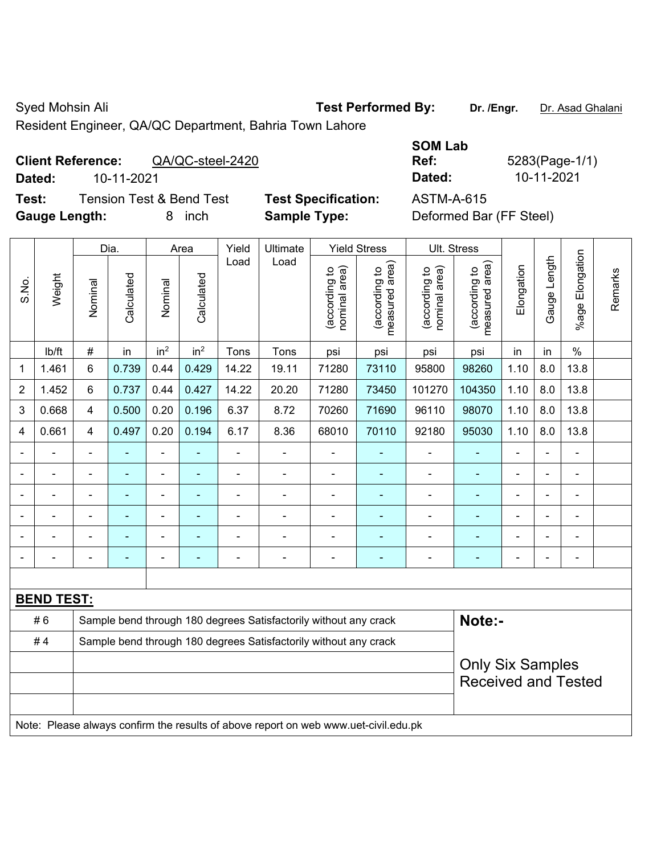Syed Mohsin Ali **Test Performed By:** Dr. /Engr. Dr. Asad Ghalani

Resident Engineer, QA/QC Department, Bahria Town Lahore

## **Client Reference:** QA/QC-steel-2420

**Test:** Tension Test & Bend Test **Test Specification: Gauge Length:** 8 inch **Sample Type:** Deformed Bar (FF Steel)

|        |                                              |                            | <b>SOM Lab</b> |                |
|--------|----------------------------------------------|----------------------------|----------------|----------------|
|        | <b>Client Reference:</b><br>QA/QC-steel-2420 |                            | Ref:           | 5283(Page-1/1) |
| Dated: | 10-11-2021                                   |                            | Dated:         | 10-11-2021     |
| Test:  | Tension Test & Bend Test                     | <b>Test Specification:</b> | ASTM-A-615     |                |

|                |                   |                | Dia.                                                                       |                 | Area            | Yield          | Ultimate                                                                            |                                | <b>Yield Stress</b>             |                                | Ult. Stress                                           |                |              |                         |         |
|----------------|-------------------|----------------|----------------------------------------------------------------------------|-----------------|-----------------|----------------|-------------------------------------------------------------------------------------|--------------------------------|---------------------------------|--------------------------------|-------------------------------------------------------|----------------|--------------|-------------------------|---------|
| S.No.          | Weight            | Nominal        | Calculated                                                                 | Nominal         | Calculated      | Load           | Load                                                                                | nominal area)<br>(according to | (according to<br>measured area) | (according to<br>nominal area) | (according to<br>measured area)                       | Elongation     | Gauge Length | Elongation<br>$%$ age I | Remarks |
|                | lb/ft             | $\#$           | in                                                                         | in <sup>2</sup> | in <sup>2</sup> | Tons           | Tons                                                                                | psi                            | psi                             | psi                            | psi                                                   | in             | in           | $\frac{0}{0}$           |         |
| 1              | 1.461             | 6              | 0.739                                                                      | 0.44            | 0.429           | 14.22          | 19.11                                                                               | 71280                          | 73110                           | 95800                          | 98260                                                 | 1.10           | 8.0          | 13.8                    |         |
| $\overline{2}$ | 1.452             | 6              | 0.737                                                                      | 0.44            | 0.427           | 14.22          | 20.20                                                                               | 71280                          | 73450                           | 101270                         | 104350                                                | 1.10           | 8.0          | 13.8                    |         |
| 3              | 0.668             | 4              | 0.500                                                                      | 0.20            | 0.196           | 6.37           | 8.72                                                                                | 70260                          | 71690                           | 96110                          | 98070                                                 | 1.10           | 8.0          | 13.8                    |         |
| 4              | 0.661             | 4              | 0.497                                                                      | 0.20            | 0.194           | 6.17           | 8.36                                                                                | 68010                          | 70110                           | 92180                          | 95030                                                 | 1.10           | 8.0          | 13.8                    |         |
|                | ä,                | $\blacksquare$ | $\blacksquare$                                                             | $\blacksquare$  |                 | $\blacksquare$ | $\blacksquare$                                                                      | $\blacksquare$                 | $\blacksquare$                  | $\blacksquare$                 | $\blacksquare$                                        | $\blacksquare$ | ÷.           | ä,                      |         |
|                | ä,                | $\blacksquare$ | $\blacksquare$                                                             | ÷               | $\blacksquare$  | $\blacksquare$ | ÷                                                                                   | ä,                             |                                 | ä,                             | $\blacksquare$                                        | ÷              |              | $\blacksquare$          |         |
|                | ä,                | L,             | ÷                                                                          | $\blacksquare$  |                 | ä,             | ÷                                                                                   | ä,                             |                                 | ä,                             | ä,                                                    | L,             |              | $\blacksquare$          |         |
|                |                   |                |                                                                            |                 |                 |                |                                                                                     |                                |                                 |                                |                                                       |                |              | $\blacksquare$          |         |
|                |                   |                |                                                                            |                 |                 |                |                                                                                     |                                |                                 |                                |                                                       |                |              |                         |         |
| $\blacksquare$ |                   |                |                                                                            | $\blacksquare$  |                 | $\blacksquare$ | ÷                                                                                   | $\blacksquare$                 | ٠                               | $\blacksquare$                 | $\blacksquare$                                        | L,             |              | $\blacksquare$          |         |
|                |                   |                |                                                                            |                 |                 |                |                                                                                     |                                |                                 |                                |                                                       |                |              |                         |         |
|                | <b>BEND TEST:</b> |                |                                                                            |                 |                 |                |                                                                                     |                                |                                 |                                |                                                       |                |              |                         |         |
|                | #6                |                | Sample bend through 180 degrees Satisfactorily without any crack<br>Note:- |                 |                 |                |                                                                                     |                                |                                 |                                |                                                       |                |              |                         |         |
|                | #4                |                |                                                                            |                 |                 |                | Sample bend through 180 degrees Satisfactorily without any crack                    |                                |                                 |                                |                                                       |                |              |                         |         |
|                |                   |                |                                                                            |                 |                 |                |                                                                                     |                                |                                 |                                | <b>Only Six Samples</b><br><b>Received and Tested</b> |                |              |                         |         |
|                |                   |                |                                                                            |                 |                 |                | Note: Please always confirm the results of above report on web www.uet-civil.edu.pk |                                |                                 |                                |                                                       |                |              |                         |         |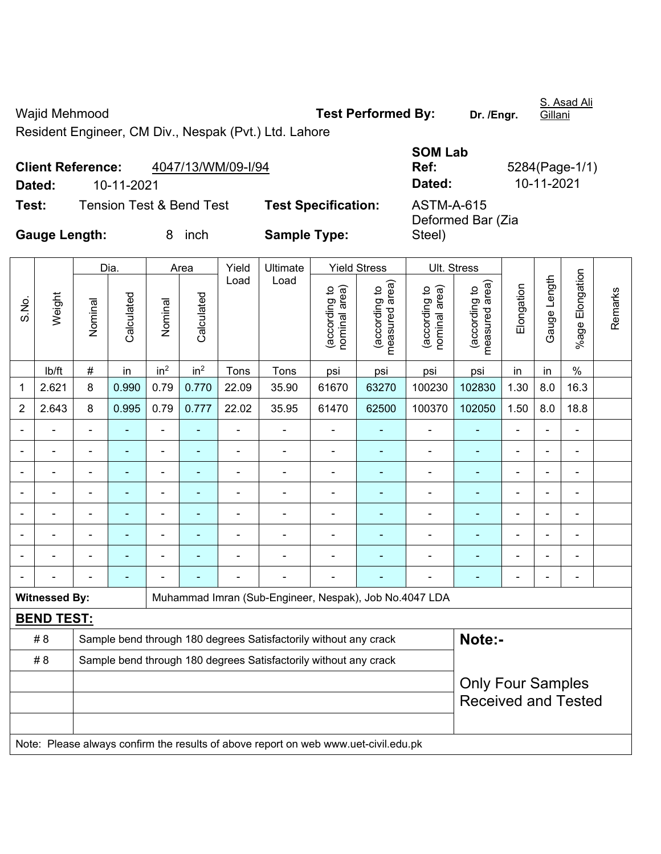Wajid Mehmood **Test Performed By:** Dr. /Engr.

S. Asad Ali Gillani

Resident Engineer, CM Div., Nespak (Pvt.) Ltd. Lahore

|                      | <b>Client Reference:</b> | 4047/13/WM/09-I/94                  |                            | <b>SOM Lab</b><br>Ref:                 | 5284(Page-1/1) |
|----------------------|--------------------------|-------------------------------------|----------------------------|----------------------------------------|----------------|
| Dated:               | 10-11-2021               |                                     |                            | Dated:                                 | 10-11-2021     |
| Test:                |                          | <b>Tension Test &amp; Bend Test</b> | <b>Test Specification:</b> | <b>ASTM-A-615</b><br>Deformed Bar (Zia |                |
| <b>Gauge Length:</b> |                          | inch                                | <b>Sample Type:</b>        | Steel)                                 |                |

|                |                      |                                                                  | Dia.                     |                          | Area            | Yield          | Ultimate                                                                            |                                | <b>Yield Stress</b>                         | Ult. Stress                    |                                 |                |                |                           |         |
|----------------|----------------------|------------------------------------------------------------------|--------------------------|--------------------------|-----------------|----------------|-------------------------------------------------------------------------------------|--------------------------------|---------------------------------------------|--------------------------------|---------------------------------|----------------|----------------|---------------------------|---------|
| S.No.          | Weight               | Nominal                                                          | Calculated               | Nominal                  | Calculated      | Load           | Load                                                                                | nominal area)<br>(according to | (according to<br>measured area)<br>measured | nominal area)<br>(according to | (according to<br>measured area) | Elongation     | Gauge Length   | Elongation<br>$%$ age $ $ | Remarks |
|                | lb/ft                | $\#$                                                             | in                       | in <sup>2</sup>          | in <sup>2</sup> | Tons           | Tons                                                                                | psi                            | psi                                         | psi                            | psi                             | in             | in             | $\%$                      |         |
| 1              | 2.621                | 8                                                                | 0.990                    | 0.79                     | 0.770           | 22.09          | 35.90                                                                               | 61670                          | 63270                                       | 100230                         | 102830                          | 1.30           | 8.0            | 16.3                      |         |
| $\overline{2}$ | 2.643                | 8                                                                | 0.995                    | 0.79                     | 0.777           | 22.02          | 35.95                                                                               | 61470                          | 62500                                       | 100370                         | 102050                          | 1.50           | 8.0            | 18.8                      |         |
|                |                      |                                                                  |                          | ä,                       | $\blacksquare$  | ä,             | ä,                                                                                  | $\blacksquare$                 |                                             | ä,                             | ä,                              | $\blacksquare$ |                | $\blacksquare$            |         |
|                | Ē,                   | ä,                                                               | ÷                        | $\overline{\phantom{0}}$ | $\blacksquare$  | $\blacksquare$ | ÷                                                                                   | L,                             | $\overline{\phantom{a}}$                    | $\overline{\phantom{a}}$       | ٠                               | $\blacksquare$ | ÷              | $\blacksquare$            |         |
|                | L.                   | $\blacksquare$                                                   | $\blacksquare$           | $\overline{\phantom{0}}$ | ۰               | $\blacksquare$ | $\blacksquare$                                                                      | $\blacksquare$                 | $\overline{\phantom{a}}$                    | $\blacksquare$                 | ۰                               | $\overline{a}$ | $\blacksquare$ | $\overline{\phantom{a}}$  |         |
|                | Ē,                   |                                                                  | ÷                        | ÷,                       |                 | ä,             | ÷                                                                                   | L,                             | ٠                                           | $\overline{a}$                 | ä,                              | $\blacksquare$ | ä,             | $\blacksquare$            |         |
|                |                      | $\blacksquare$                                                   | ÷,                       | ۰                        | ۰               | $\blacksquare$ | ä,                                                                                  | $\blacksquare$                 | $\blacksquare$                              | $\blacksquare$                 | ä,                              | $\blacksquare$ | $\blacksquare$ | $\blacksquare$            |         |
|                |                      |                                                                  |                          |                          |                 |                |                                                                                     |                                |                                             |                                | ۰                               |                |                | ۰                         |         |
|                |                      |                                                                  |                          |                          |                 |                |                                                                                     |                                |                                             | ä,                             | ÷                               |                |                |                           |         |
|                |                      |                                                                  |                          |                          |                 |                |                                                                                     |                                |                                             |                                | ٠                               | $\blacksquare$ | $\blacksquare$ | ÷,                        |         |
|                | <b>Witnessed By:</b> |                                                                  |                          |                          |                 |                | Muhammad Imran (Sub-Engineer, Nespak), Job No.4047 LDA                              |                                |                                             |                                |                                 |                |                |                           |         |
|                | <b>BEND TEST:</b>    |                                                                  |                          |                          |                 |                |                                                                                     |                                |                                             |                                |                                 |                |                |                           |         |
|                | # 8                  |                                                                  |                          |                          |                 |                | Sample bend through 180 degrees Satisfactorily without any crack                    |                                |                                             |                                | Note:-                          |                |                |                           |         |
|                | # 8                  | Sample bend through 180 degrees Satisfactorily without any crack |                          |                          |                 |                |                                                                                     |                                |                                             |                                |                                 |                |                |                           |         |
|                |                      |                                                                  | <b>Only Four Samples</b> |                          |                 |                |                                                                                     |                                |                                             |                                |                                 |                |                |                           |         |
|                |                      |                                                                  |                          |                          |                 |                |                                                                                     |                                |                                             |                                | <b>Received and Tested</b>      |                |                |                           |         |
|                |                      |                                                                  |                          |                          |                 |                |                                                                                     |                                |                                             |                                |                                 |                |                |                           |         |
|                |                      |                                                                  |                          |                          |                 |                | Note: Please always confirm the results of above report on web www.uet-civil.edu.pk |                                |                                             |                                |                                 |                |                |                           |         |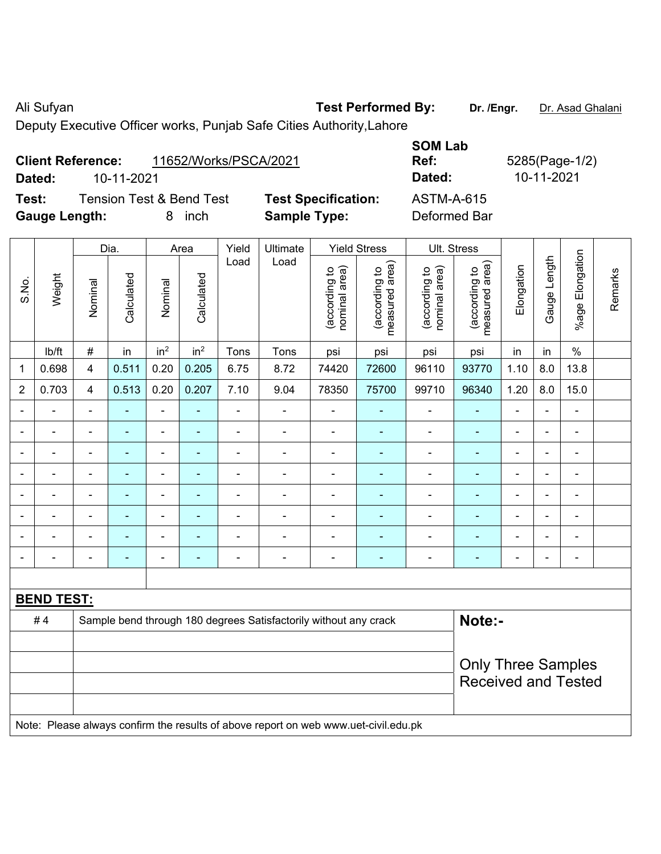Ali Sufyan **Test Performed By:** Dr. /Engr. **Dr. Asad Ghalani** Dr. /Engr. **Dr. Asad Ghalani** 

Deputy Executive Officer works, Punjab Safe Cities Authority,Lahore

|                      | <b>Client Reference:</b> | 11652/Works/PSCA/2021               |                            | <b>JUIVI LAN</b><br>Ref: |
|----------------------|--------------------------|-------------------------------------|----------------------------|--------------------------|
| Dated:               | 10-11-2021               |                                     |                            | Dated:                   |
| Test:                |                          | <b>Tension Test &amp; Bend Test</b> | <b>Test Specification:</b> | <b>ASTM-A-615</b>        |
| <b>Gauge Length:</b> |                          | 8 inch                              | <b>Sample Type:</b>        | Deformed Bar             |

**SOM Lab Ref:** 5285(Page-1/2) **Dated:** 10-11-2021 **Dated:** 10-11-2021 **Test:** Tension Test & Bend Test **Test Specification:** ASTM-A-615

|                |                   |                                                                            | Dia.           |                 | Area            | Yield          | Ultimate                                                                            |                                | <b>Yield Stress</b>             |                                | Ult. Stress                     |                |                |                          |         |
|----------------|-------------------|----------------------------------------------------------------------------|----------------|-----------------|-----------------|----------------|-------------------------------------------------------------------------------------|--------------------------------|---------------------------------|--------------------------------|---------------------------------|----------------|----------------|--------------------------|---------|
| S.No.          | Weight            | Nominal                                                                    | Calculated     | Nominal         | Calculated      | Load           | Load                                                                                | nominal area)<br>(according to | measured area)<br>(according to | nominal area)<br>(according to | (according to<br>measured area) | Elongation     | Gauge Length   | %age Elongation          | Remarks |
|                | lb/ft             | $\#$                                                                       | in             | in <sup>2</sup> | in <sup>2</sup> | Tons           | Tons                                                                                | psi                            | psi                             | psi                            | psi                             | in             | in             | $\%$                     |         |
| 1              | 0.698             | 4                                                                          | 0.511          | 0.20            | 0.205           | 6.75           | 8.72                                                                                | 74420                          | 72600                           | 96110                          | 93770                           | 1.10           | 8.0            | 13.8                     |         |
| $\overline{2}$ | 0.703             | 4                                                                          | 0.513          | 0.20            | 0.207           | 7.10           | 9.04                                                                                | 78350                          | 75700                           | 99710                          | 96340                           | 1.20           | 8.0            | 15.0                     |         |
|                |                   |                                                                            |                |                 |                 |                |                                                                                     |                                |                                 |                                |                                 |                |                | $\blacksquare$           |         |
| $\blacksquare$ | $\blacksquare$    | $\blacksquare$                                                             | $\blacksquare$ | ÷               | $\blacksquare$  | $\blacksquare$ | $\blacksquare$                                                                      | $\blacksquare$                 | $\blacksquare$                  | $\overline{\phantom{a}}$       | ÷,                              | $\blacksquare$ | $\blacksquare$ | $\overline{\phantom{a}}$ |         |
| $\blacksquare$ | $\blacksquare$    | $\blacksquare$                                                             | $\blacksquare$ | $\blacksquare$  | $\blacksquare$  | $\blacksquare$ | $\blacksquare$                                                                      | $\blacksquare$                 | $\blacksquare$                  | $\overline{\phantom{a}}$       | ÷,                              | $\blacksquare$ | $\blacksquare$ | $\overline{\phantom{a}}$ |         |
|                | $\blacksquare$    | $\blacksquare$                                                             | $\blacksquare$ | $\blacksquare$  | ä,              | $\blacksquare$ | $\blacksquare$                                                                      | $\blacksquare$                 | ä,                              | $\blacksquare$                 | $\blacksquare$                  | $\blacksquare$ | $\blacksquare$ | $\overline{\phantom{a}}$ |         |
| $\blacksquare$ | $\blacksquare$    | $\blacksquare$                                                             | $\blacksquare$ | ä,              | ä,              | $\blacksquare$ | $\blacksquare$                                                                      | $\blacksquare$                 | ÷                               | $\blacksquare$                 | $\blacksquare$                  | $\blacksquare$ | $\blacksquare$ | ÷,                       |         |
|                |                   |                                                                            | $\blacksquare$ |                 |                 | Ē,             |                                                                                     | $\blacksquare$                 |                                 |                                | Ē.                              |                |                | Ē,                       |         |
|                |                   |                                                                            |                |                 |                 |                |                                                                                     |                                | ä,                              | $\blacksquare$                 | $\blacksquare$                  |                |                | $\blacksquare$           |         |
|                |                   | $\blacksquare$                                                             | $\blacksquare$ | $\blacksquare$  | ۳               | $\blacksquare$ | $\blacksquare$                                                                      | $\blacksquare$                 | $\overline{\phantom{0}}$        | ۰                              | $\blacksquare$                  | $\blacksquare$ | $\blacksquare$ | $\overline{\phantom{a}}$ |         |
|                |                   |                                                                            |                |                 |                 |                |                                                                                     |                                |                                 |                                |                                 |                |                |                          |         |
|                | <b>BEND TEST:</b> |                                                                            |                |                 |                 |                |                                                                                     |                                |                                 |                                |                                 |                |                |                          |         |
|                | #4                | Note:-<br>Sample bend through 180 degrees Satisfactorily without any crack |                |                 |                 |                |                                                                                     |                                |                                 |                                |                                 |                |                |                          |         |
|                |                   |                                                                            |                |                 |                 |                |                                                                                     |                                |                                 |                                |                                 |                |                |                          |         |
|                |                   |                                                                            |                |                 |                 |                |                                                                                     |                                |                                 |                                | <b>Only Three Samples</b>       |                |                |                          |         |
|                |                   |                                                                            |                |                 |                 |                |                                                                                     |                                |                                 |                                | <b>Received and Tested</b>      |                |                |                          |         |
|                |                   |                                                                            |                |                 |                 |                |                                                                                     |                                |                                 |                                |                                 |                |                |                          |         |
|                |                   |                                                                            |                |                 |                 |                | Note: Please always confirm the results of above report on web www.uet-civil.edu.pk |                                |                                 |                                |                                 |                |                |                          |         |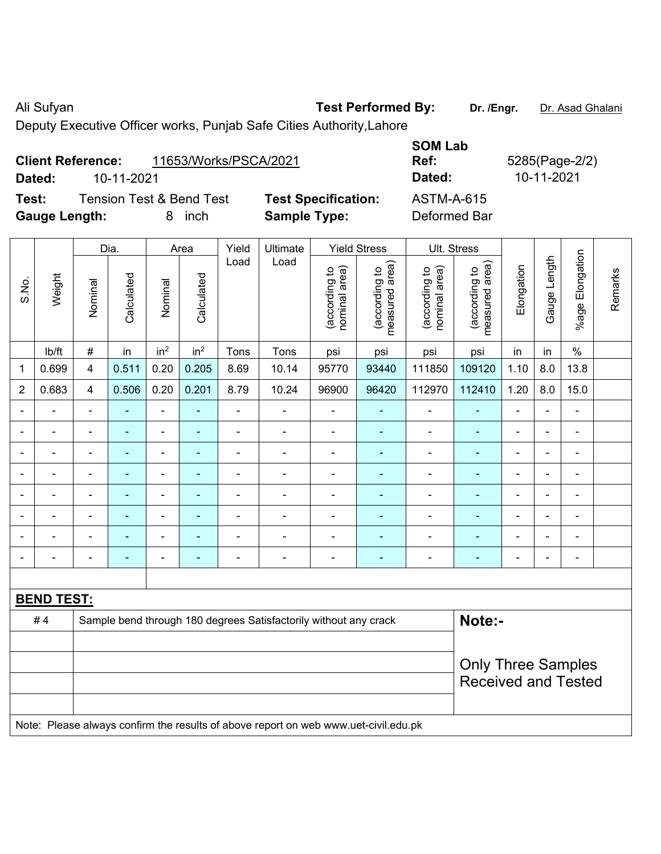Ali Sufyan **Test Performed By:** Dr. /Engr. **Dr. Asad Ghalani** 

Deputy Executive Officer works, Punjab Safe Cities Authority,Lahore

|                      |                          |                                     |                            | <b>SUM LAD</b> |              |
|----------------------|--------------------------|-------------------------------------|----------------------------|----------------|--------------|
|                      | <b>Client Reference:</b> | 11653/Works/PSCA/2021               |                            | Ref:           | 5285(Page-2/ |
| Dated:               | 10-11-2021               |                                     |                            | Dated:         | 10-11-2021   |
| Test:                |                          | <b>Tension Test &amp; Bend Test</b> | <b>Test Specification:</b> | ASTM-A-615     |              |
| <b>Gauge Length:</b> |                          | inch                                | <b>Sample Type:</b>        | Deformed Bar   |              |

| <b>SOM Lab</b> |                |
|----------------|----------------|
| Ref:           | 5285(Page-2/2) |
| Dated:         | 10-11-2021     |
| ASTM-A-615     |                |
| Doformod Dor   |                |

|                |                   |                          | Dia.           |                              | Area            | Yield          | Ultimate                                                                            |                                | <b>Yield Stress</b>             |                                | Ult. Stress                                             |                |                |                              |         |
|----------------|-------------------|--------------------------|----------------|------------------------------|-----------------|----------------|-------------------------------------------------------------------------------------|--------------------------------|---------------------------------|--------------------------------|---------------------------------------------------------|----------------|----------------|------------------------------|---------|
| S.No.          | Weight            | Nominal                  | Calculated     | Nominal                      | Calculated      | Load           | Load                                                                                | nominal area)<br>(according to | (according to<br>measured area) | nominal area)<br>(according to | (according to<br>measured area)<br>measured             | Elongation     | Gauge Length   | %age Elongation              | Remarks |
|                | lb/ft             | $\#$                     | in             | in <sup>2</sup>              | in <sup>2</sup> | Tons           | Tons                                                                                | psi                            | psi                             | psi                            | psi                                                     | in             | in             | $\%$                         |         |
| $\mathbf 1$    | 0.699             | $\overline{4}$           | 0.511          | 0.20                         | 0.205           | 8.69           | 10.14                                                                               | 95770                          | 93440                           | 111850                         | 109120                                                  | 1.10           | 8.0            | 13.8                         |         |
| $\overline{2}$ | 0.683             | $\overline{4}$           | 0.506          | 0.20                         | 0.201           | 8.79           | 10.24                                                                               | 96900                          | 96420                           | 112970                         | 112410                                                  | 1.20           | 8.0            | 15.0                         |         |
| $\blacksquare$ | $\blacksquare$    | $\overline{\phantom{a}}$ | $\blacksquare$ | $\blacksquare$               | $\blacksquare$  | $\blacksquare$ | $\blacksquare$                                                                      | $\blacksquare$                 | $\blacksquare$                  | $\qquad \qquad \blacksquare$   | $\blacksquare$                                          | $\blacksquare$ | $\blacksquare$ | $\blacksquare$               |         |
|                | $\blacksquare$    | $\blacksquare$           | $\blacksquare$ | $\qquad \qquad \blacksquare$ | ۰               | $\blacksquare$ | ÷                                                                                   | ä,                             | ÷                               | $\overline{\phantom{a}}$       | $\blacksquare$                                          | $\blacksquare$ | $\blacksquare$ | $\qquad \qquad \blacksquare$ |         |
|                | $\blacksquare$    | $\blacksquare$           | ÷,             | $\blacksquare$               | ۰               | $\blacksquare$ | ä,                                                                                  | L,                             | Ξ                               | $\blacksquare$                 | $\blacksquare$                                          | ä,             |                | ÷,                           |         |
|                | $\blacksquare$    | $\blacksquare$           | ÷,             | ÷,                           |                 | $\blacksquare$ | ä,                                                                                  | ä,                             |                                 | $\blacksquare$                 | ä,                                                      | $\blacksquare$ |                | $\blacksquare$               |         |
|                |                   |                          | $\blacksquare$ | $\blacksquare$               |                 |                | $\blacksquare$                                                                      | $\blacksquare$                 |                                 | $\blacksquare$                 | $\blacksquare$                                          | $\blacksquare$ |                |                              |         |
|                |                   |                          |                | ۰                            |                 |                | $\blacksquare$                                                                      | ä,                             |                                 | $\blacksquare$                 |                                                         |                |                | ÷                            |         |
|                |                   |                          | $\blacksquare$ | $\qquad \qquad \blacksquare$ |                 |                | $\blacksquare$                                                                      |                                | ۰                               | $\blacksquare$                 | $\blacksquare$                                          |                |                | $\overline{\phantom{0}}$     |         |
|                | L,                |                          | ۰              | $\overline{\phantom{a}}$     | ۰               | $\blacksquare$ | $\blacksquare$                                                                      | $\blacksquare$                 | $\blacksquare$                  | $\overline{\phantom{a}}$       | $\blacksquare$                                          | $\blacksquare$ | $\blacksquare$ | $\blacksquare$               |         |
|                |                   |                          |                |                              |                 |                |                                                                                     |                                |                                 |                                |                                                         |                |                |                              |         |
|                | <b>BEND TEST:</b> |                          |                |                              |                 |                |                                                                                     |                                |                                 |                                |                                                         |                |                |                              |         |
|                | #4                |                          |                |                              |                 |                | Sample bend through 180 degrees Satisfactorily without any crack                    |                                |                                 |                                | Note:-                                                  |                |                |                              |         |
|                |                   |                          |                |                              |                 |                |                                                                                     |                                |                                 |                                |                                                         |                |                |                              |         |
|                |                   |                          |                |                              |                 |                |                                                                                     |                                |                                 |                                | <b>Only Three Samples</b><br><b>Received and Tested</b> |                |                |                              |         |
|                |                   |                          |                |                              |                 |                | Note: Please always confirm the results of above report on web www.uet-civil.edu.pk |                                |                                 |                                |                                                         |                |                |                              |         |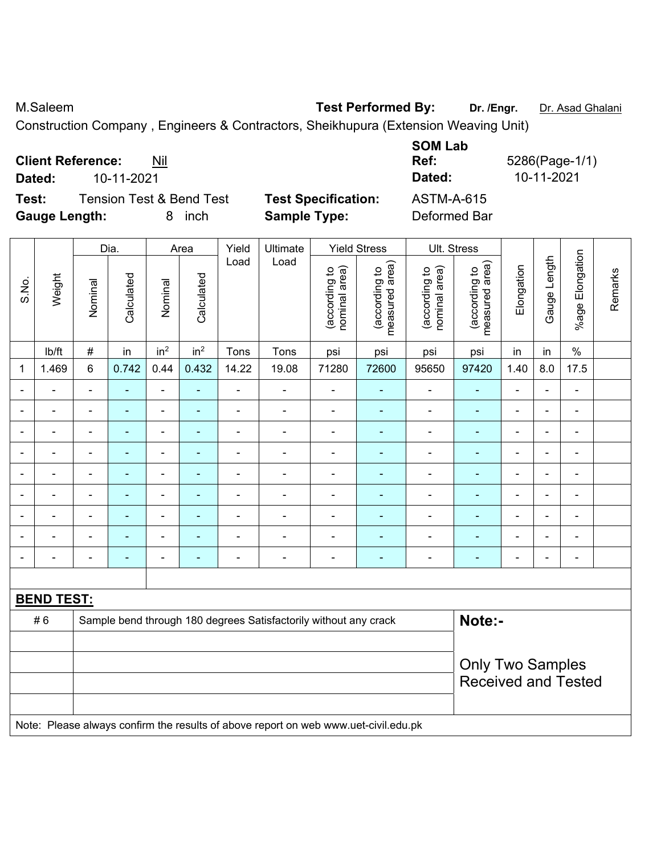M.Saleem **Test Performed By:** Dr. /Engr. Dr. Asad Ghalani

Construction Company , Engineers & Contractors, Sheikhupura (Extension Weaving Unit)

| <b>Client Reference:</b><br>Nil              |            |                            | <b>SOM LAD</b><br>Ref: | 5286(Page-1/1) |
|----------------------------------------------|------------|----------------------------|------------------------|----------------|
| 10-11-2021<br>Dated:                         |            |                            | Dated:                 | 10-11-2021     |
| <b>Tension Test &amp; Bend Test</b><br>Test: |            | <b>Test Specification:</b> | <b>ASTM-A-615</b>      |                |
| <b>Gauge Length:</b>                         | inch<br>8. | <b>Sample Type:</b>        | Deformed Bar           |                |

|       | Weight                                                                              |                          |                | Dia.                     |                 | Area           |                                                                  | Yield                          | Ultimate                        |                                | <b>Yield Stress</b>             |                | Ult. Stress    |                              |         |  |  |
|-------|-------------------------------------------------------------------------------------|--------------------------|----------------|--------------------------|-----------------|----------------|------------------------------------------------------------------|--------------------------------|---------------------------------|--------------------------------|---------------------------------|----------------|----------------|------------------------------|---------|--|--|
| S.No. |                                                                                     | Nominal                  | Calculated     | Nominal                  | Calculated      | Load           | Load                                                             | nominal area)<br>(according to | (according to<br>measured area) | nominal area)<br>(according to | (according to<br>measured area) | Elongation     | Gauge Length   | %age Elongation              | Remarks |  |  |
|       | Ib/ft                                                                               | $\#$                     | in             | in <sup>2</sup>          | in <sup>2</sup> | Tons           | Tons                                                             | psi                            | psi                             | psi                            | psi                             | in             | in             | $\%$                         |         |  |  |
| 1     | 1.469                                                                               | $6\phantom{a}$           | 0.742          | 0.44                     | 0.432           | 14.22          | 19.08                                                            | 71280                          | 72600                           | 95650                          | 97420                           | 1.40           | 8.0            | 17.5                         |         |  |  |
|       | Ē,                                                                                  | $\overline{\phantom{a}}$ | $\blacksquare$ | $\blacksquare$           | $\blacksquare$  | $\overline{a}$ | $\blacksquare$                                                   | $\frac{1}{2}$                  | $\blacksquare$                  | $\blacksquare$                 | $\blacksquare$                  | $\blacksquare$ | $\blacksquare$ | $\overline{\phantom{a}}$     |         |  |  |
|       | $\blacksquare$                                                                      | $\blacksquare$           | $\blacksquare$ | $\blacksquare$           | $\blacksquare$  | ÷,             | ÷,                                                               | $\blacksquare$                 | $\blacksquare$                  | $\blacksquare$                 | $\blacksquare$                  | $\blacksquare$ | ä,             | $\overline{\phantom{a}}$     |         |  |  |
|       | $\blacksquare$                                                                      | $\blacksquare$           | $\blacksquare$ | $\blacksquare$           | ۰               | ä,             | ä,                                                               | $\blacksquare$                 | $\blacksquare$                  | $\blacksquare$                 | $\blacksquare$                  | ÷              | $\blacksquare$ | $\blacksquare$               |         |  |  |
|       |                                                                                     |                          | $\blacksquare$ | $\blacksquare$           |                 | $\blacksquare$ | $\blacksquare$                                                   | $\blacksquare$                 | $\blacksquare$                  | $\blacksquare$                 | $\overline{a}$                  | $\blacksquare$ |                | $\blacksquare$               |         |  |  |
|       |                                                                                     |                          |                | -                        |                 | $\blacksquare$ | $\blacksquare$                                                   | $\qquad \qquad \blacksquare$   |                                 | $\overline{\phantom{0}}$       | $\blacksquare$                  |                |                | $\blacksquare$               |         |  |  |
|       |                                                                                     |                          |                | ä,                       | ÷               |                | Ē,                                                               | $\blacksquare$                 | $\blacksquare$                  | ä,                             | Ē,                              | L,             |                | ä,                           |         |  |  |
|       | ÷                                                                                   | $\blacksquare$           |                | $\overline{\phantom{0}}$ | ٠               | $\blacksquare$ | $\blacksquare$                                                   | $\blacksquare$                 | $\blacksquare$                  | ä,                             | $\blacksquare$                  | $\blacksquare$ | $\blacksquare$ | $\blacksquare$               |         |  |  |
|       |                                                                                     | $\blacksquare$           | ٠              | ÷,                       | ۰               | $\blacksquare$ | $\blacksquare$                                                   | $\blacksquare$                 | $\blacksquare$                  | $\blacksquare$                 | $\blacksquare$                  | $\blacksquare$ | $\blacksquare$ | ÷                            |         |  |  |
|       | Ē,                                                                                  | $\blacksquare$           | $\blacksquare$ | $\overline{\phantom{0}}$ | ٠               | $\blacksquare$ | ÷                                                                | $\blacksquare$                 | $\overline{\phantom{0}}$        | $\blacksquare$                 | $\blacksquare$                  | $\blacksquare$ | $\blacksquare$ | $\qquad \qquad \blacksquare$ |         |  |  |
|       |                                                                                     |                          |                |                          |                 |                |                                                                  |                                |                                 |                                |                                 |                |                |                              |         |  |  |
|       | <b>BEND TEST:</b>                                                                   |                          |                |                          |                 |                |                                                                  |                                |                                 |                                |                                 |                |                |                              |         |  |  |
|       | #6                                                                                  |                          |                |                          |                 |                | Sample bend through 180 degrees Satisfactorily without any crack |                                |                                 |                                | Note:-                          |                |                |                              |         |  |  |
|       |                                                                                     |                          |                |                          |                 |                |                                                                  |                                |                                 |                                |                                 |                |                |                              |         |  |  |
|       |                                                                                     | <b>Only Two Samples</b>  |                |                          |                 |                |                                                                  |                                |                                 |                                |                                 |                |                |                              |         |  |  |
|       |                                                                                     |                          |                |                          |                 |                |                                                                  |                                |                                 |                                | <b>Received and Tested</b>      |                |                |                              |         |  |  |
|       |                                                                                     |                          |                |                          |                 |                |                                                                  |                                |                                 |                                |                                 |                |                |                              |         |  |  |
|       | Note: Please always confirm the results of above report on web www.uet-civil.edu.pk |                          |                |                          |                 |                |                                                                  |                                |                                 |                                |                                 |                |                |                              |         |  |  |

**SOM Lab**